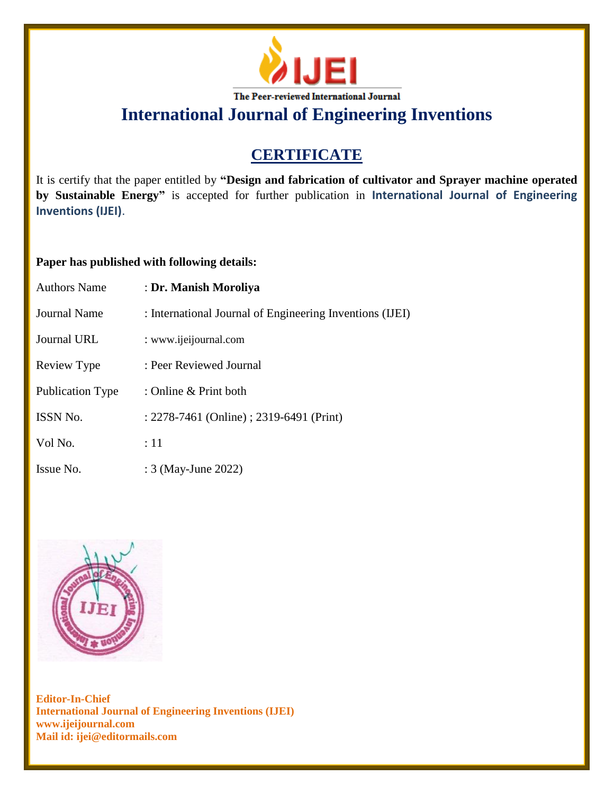

## **CERTIFICATE**

It is certify that the paper entitled by **"Design and fabrication of cultivator and Sprayer machine operated by Sustainable Energy"** is accepted for further publication in **International Journal of Engineering Inventions (IJEI)**.

### **Paper has published with following details:**

| <b>Authors Name</b> | : Dr. Manish Moroliya                                    |
|---------------------|----------------------------------------------------------|
| <b>Journal Name</b> | : International Journal of Engineering Inventions (IJEI) |
| Journal URL         | : www.ijeijournal.com                                    |
| Review Type         | : Peer Reviewed Journal                                  |
| Publication Type    | : Online & Print both                                    |
| <b>ISSN No.</b>     | : 2278-7461 (Online) ; 2319-6491 (Print)                 |
| Vol No.             | :11                                                      |
| Issue No.           | : 3 (May-June 2022)                                      |

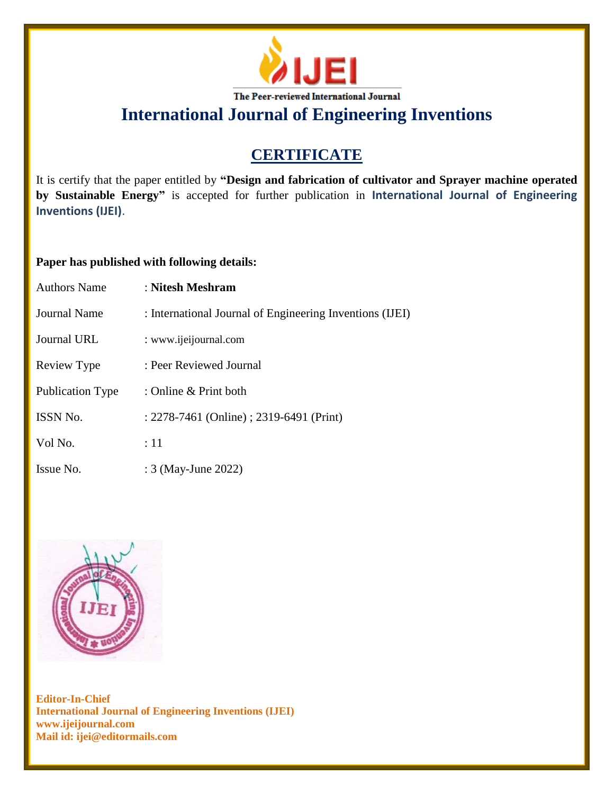

## **CERTIFICATE**

It is certify that the paper entitled by **"Design and fabrication of cultivator and Sprayer machine operated by Sustainable Energy"** is accepted for further publication in **International Journal of Engineering Inventions (IJEI)**.

### **Paper has published with following details:**

| <b>Authors Name</b> | : Nitesh Meshram                                         |
|---------------------|----------------------------------------------------------|
| Journal Name        | : International Journal of Engineering Inventions (IJEI) |
| Journal URL         | : www.ijeijournal.com                                    |
| Review Type         | : Peer Reviewed Journal                                  |
| Publication Type    | : Online & Print both                                    |
| ISSN No.            | : 2278-7461 (Online) ; 2319-6491 (Print)                 |
| Vol No.             | :11                                                      |
| Issue No.           | : 3 (May-June 2022)                                      |

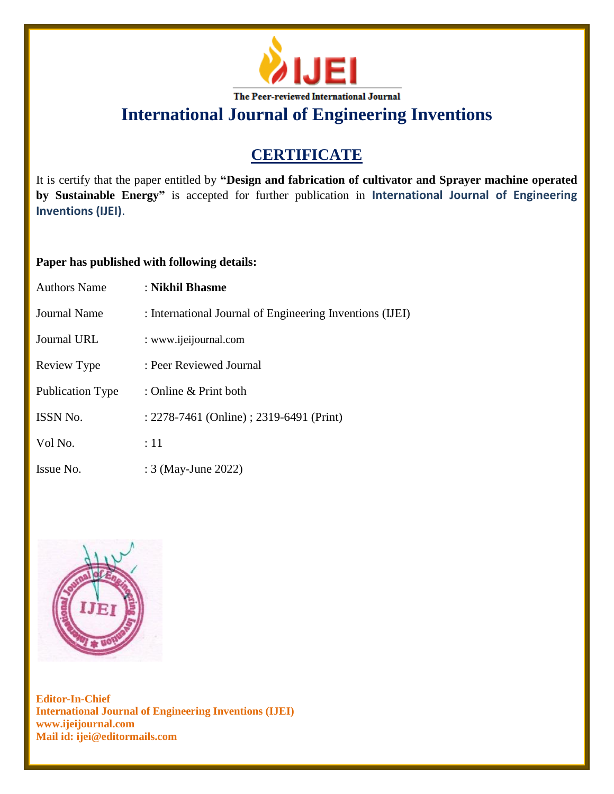

## **CERTIFICATE**

It is certify that the paper entitled by **"Design and fabrication of cultivator and Sprayer machine operated by Sustainable Energy"** is accepted for further publication in **International Journal of Engineering Inventions (IJEI)**.

### **Paper has published with following details:**

| <b>Authors Name</b>     | : Nikhil Bhasme                                          |
|-------------------------|----------------------------------------------------------|
| <b>Journal Name</b>     | : International Journal of Engineering Inventions (IJEI) |
| Journal URL             | : www.ijeijournal.com                                    |
| Review Type             | : Peer Reviewed Journal                                  |
| <b>Publication Type</b> | : Online $&$ Print both                                  |
| <b>ISSN No.</b>         | : 2278-7461 (Online) ; 2319-6491 (Print)                 |
| Vol No.                 | :11                                                      |
| Issue No.               | : 3 (May-June 2022)                                      |

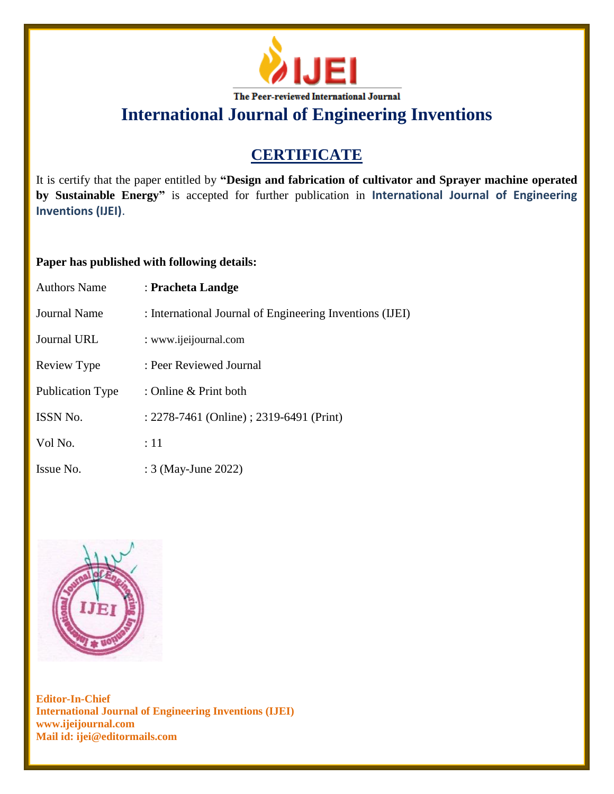

## **CERTIFICATE**

It is certify that the paper entitled by **"Design and fabrication of cultivator and Sprayer machine operated by Sustainable Energy"** is accepted for further publication in **International Journal of Engineering Inventions (IJEI)**.

### **Paper has published with following details:**

| <b>Authors Name</b> | : Pracheta Landge                                        |
|---------------------|----------------------------------------------------------|
| Journal Name        | : International Journal of Engineering Inventions (IJEI) |
| Journal URL         | : www.ijeijournal.com                                    |
| Review Type         | : Peer Reviewed Journal                                  |
| Publication Type    | : Online & Print both                                    |
| ISSN No.            | : 2278-7461 (Online) ; 2319-6491 (Print)                 |
| Vol No.             | :11                                                      |
| Issue No.           | : 3 (May-June 2022)                                      |

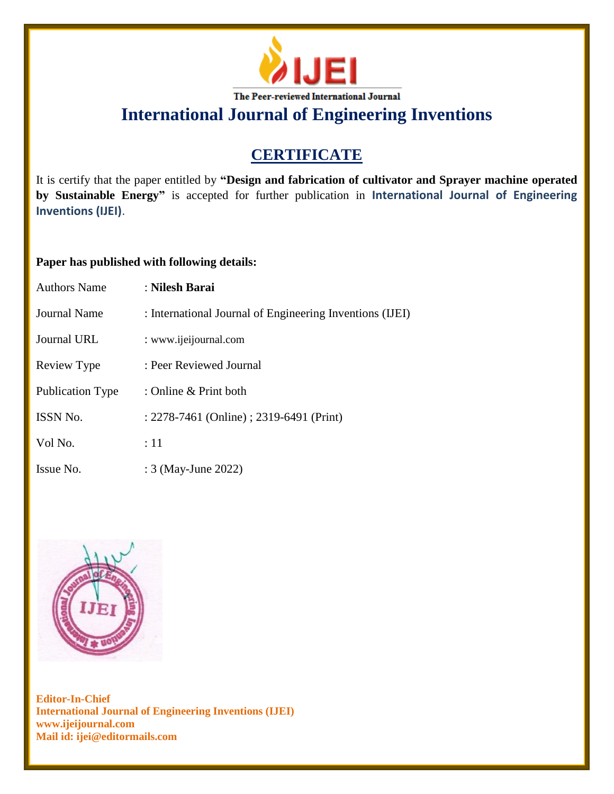

## **CERTIFICATE**

It is certify that the paper entitled by **"Design and fabrication of cultivator and Sprayer machine operated by Sustainable Energy"** is accepted for further publication in **International Journal of Engineering Inventions (IJEI)**.

### **Paper has published with following details:**

| <b>Authors Name</b>     | : Nilesh Barai                                           |
|-------------------------|----------------------------------------------------------|
| Journal Name            | : International Journal of Engineering Inventions (IJEI) |
| <b>Journal URL</b>      | : www.ijeijournal.com                                    |
| Review Type             | : Peer Reviewed Journal                                  |
| <b>Publication Type</b> | : Online & Print both                                    |
| ISSN No.                | : 2278-7461 (Online) ; 2319-6491 (Print)                 |
| Vol No.                 | :11                                                      |
| Issue No.               | : 3 (May-June 2022)                                      |